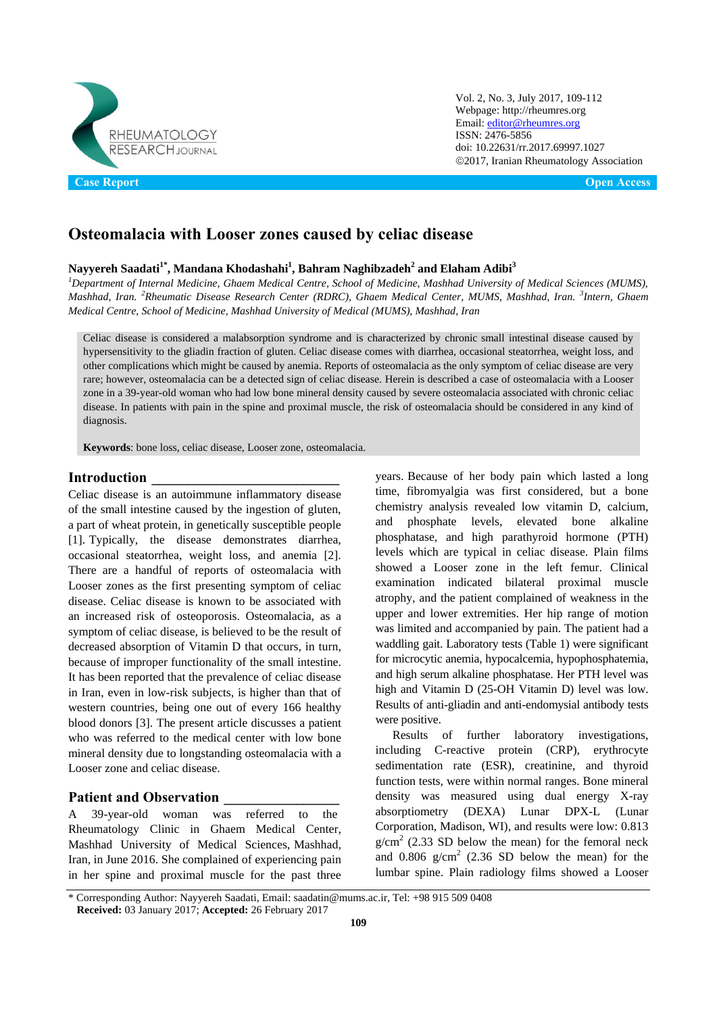

Vol. 2, No. 3, July 2017, 109-112 Webpage: http://rheumres.org Email[: editor@rheumres.org](mailto:editor@rheumres.org) ISSN: 2476-5856 doi[: 10.22631/rr.2017.69997.1027](http://dx.doi.org/10.22631/rr.2017.69997.1021) 2017, Iranian Rheumatology Association

# **Osteomalacia with Looser zones caused by celiac disease**

## **Nayyereh Saadati1\* , Mandana Khodashahi<sup>1</sup> , Bahram Naghibzadeh<sup>2</sup> and Elaham Adibi<sup>3</sup>**

*<sup>1</sup>Department of Internal Medicine, Ghaem Medical Centre, School of Medicine, Mashhad University of Medical Sciences (MUMS), Mashhad, Iran. <sup>2</sup>Rheumatic Disease Research Center (RDRC), Ghaem Medical Center, MUMS, Mashhad, Iran. <sup>3</sup> Intern, Ghaem Medical Centre, School of Medicine, Mashhad University of Medical (MUMS), Mashhad, Iran*

Celiac disease is considered a malabsorption syndrome and is characterized by chronic small intestinal disease caused by hypersensitivity to the gliadin fraction of gluten. Celiac disease comes with diarrhea, occasional steatorrhea, weight loss, and other complications which might be caused by anemia. Reports of osteomalacia as the only symptom of celiac disease are very rare; however, osteomalacia can be a detected sign of celiac disease. Herein is described a case of osteomalacia with a Looser zone in a 39-year-old woman who had low bone mineral density caused by severe osteomalacia associated with chronic celiac disease. In patients with pain in the spine and proximal muscle, the risk of osteomalacia should be considered in any kind of diagnosis.

**Keywords**: bone loss, celiac disease, Looser zone, osteomalacia.

#### **Introduction \_\_\_\_\_\_\_\_\_\_\_\_\_\_\_\_\_\_\_\_\_\_\_\_\_\_**

Celiac disease is an autoimmune inflammatory disease of the small intestine caused by the ingestion of gluten, a part of wheat protein, in genetically susceptible people [1]. Typically, the disease demonstrates diarrhea, occasional steatorrhea, weight loss, and anemia [2]. There are a handful of reports of osteomalacia with Looser zones as the first presenting symptom of celiac disease. Celiac disease is known to be associated with an increased risk of osteoporosis. Osteomalacia, as a symptom of celiac disease, is believed to be the result of decreased absorption of Vitamin D that occurs, in turn, because of improper functionality of the small intestine. It has been reported that the prevalence of celiac disease in Iran, even in low-risk subjects, is higher than that of western countries, being one out of every 166 healthy blood donors [3]. The present article discusses a patient who was referred to the medical center with low bone mineral density due to longstanding osteomalacia with a Looser zone and celiac disease.

#### **Patient and Observation \_\_\_\_\_\_\_\_\_\_\_\_\_\_\_\_**

A 39-year-old woman was referred to the Rheumatology Clinic in Ghaem Medical Center, Mashhad University of Medical Sciences, Mashhad, Iran, in June 2016. She complained of experiencing pain in her spine and proximal muscle for the past three

years. Because of her body pain which lasted a long time, fibromyalgia was first considered, but a bone chemistry analysis revealed low vitamin D, calcium, and phosphate levels, elevated bone alkaline phosphatase, and high parathyroid hormone (PTH) levels which are typical in celiac disease. Plain films showed a Looser zone in the left femur. Clinical examination indicated bilateral proximal muscle atrophy, and the patient complained of weakness in the upper and lower extremities. Her hip range of motion was limited and accompanied by pain. The patient had a waddling gait. Laboratory tests (Table 1) were significant for microcytic anemia, hypocalcemia, hypophosphatemia, and high serum alkaline phosphatase. Her PTH level was high and Vitamin D (25-OH Vitamin D) level was low. Results of anti-gliadin and anti-endomysial antibody tests were positive.

Results of further laboratory investigations, including C-reactive protein (CRP), erythrocyte sedimentation rate (ESR), creatinine, and thyroid function tests, were within normal ranges. Bone mineral density was measured using dual energy X-ray absorptiometry (DEXA) Lunar DPX-L (Lunar Corporation, Madison, WI), and results were low: 0.813  $g/cm<sup>2</sup>$  (2.33 SD below the mean) for the femoral neck and  $0.806$  g/cm<sup>2</sup> (2.36 SD below the mean) for the lumbar spine. Plain radiology films showed a Looser

<sup>\*</sup> Corresponding Author: Nayyereh Saadati, Email: saadatin@mums.ac.ir, Tel: +98 915 509 0408 **Received:** 03 January 2017; **Accepted:** 26 February 2017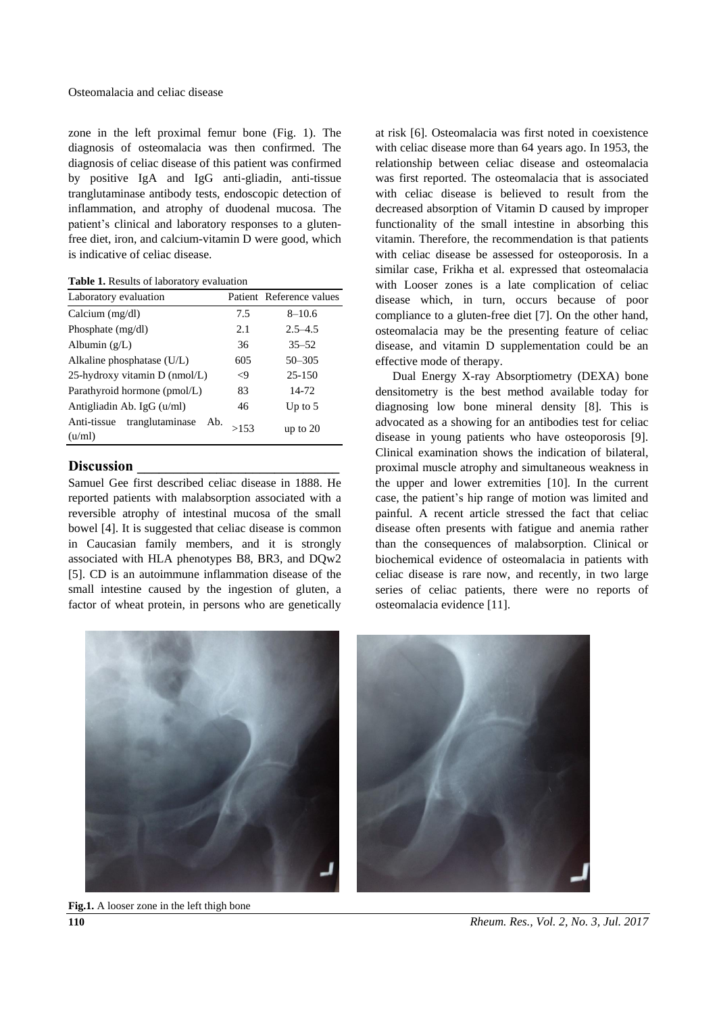zone in the left proximal femur bone (Fig. 1). The diagnosis of osteomalacia was then confirmed. The diagnosis of celiac disease of this patient was confirmed by positive IgA and IgG anti-gliadin, anti-tissue tranglutaminase antibody tests, endoscopic detection of inflammation, and atrophy of duodenal mucosa. The patient's clinical and laboratory responses to a glutenfree diet, iron, and calcium-vitamin D were good, which is indicative of celiac disease.

**Table 1.** Results of laboratory evaluation

| Laboratory evaluation                           |        | Patient Reference values |
|-------------------------------------------------|--------|--------------------------|
| Calcium $(mg/dl)$                               | 7.5    | $8 - 10.6$               |
| Phosphate $(mg/dl)$                             | 2.1    | $2.5 - 4.5$              |
| Albumin $(g/L)$                                 | 36     | $35 - 52$                |
| Alkaline phosphatase (U/L)                      | 605    | $50 - 305$               |
| 25-hydroxy vitamin D (nmol/L)                   | $\leq$ | $25 - 150$               |
| Parathyroid hormone (pmol/L)                    | 83     | 14-72                    |
| Antigliadin Ab. IgG (u/ml)                      | 46     | Up to $5$                |
| tranglutaminase<br>Anti-tissue<br>Ab.<br>(u/ml) | >153   | up to $20$               |

# **Discussion \_\_\_\_\_\_\_\_\_\_\_\_\_\_\_\_\_\_\_\_\_\_\_\_\_\_\_\_**

Samuel Gee first described celiac disease in 1888. He reported patients with malabsorption associated with a reversible atrophy of intestinal mucosa of the small bowel [4]. It is suggested that celiac disease is common in Caucasian family members, and it is strongly associated with HLA phenotypes B8, BR3, and DQw2 [5]. CD is an autoimmune inflammation disease of the small intestine caused by the ingestion of gluten, a factor of wheat protein, in persons who are genetically

at risk [6]. Osteomalacia was first noted in coexistence with celiac disease more than 64 years ago. In 1953, the relationship between celiac disease and osteomalacia was first reported. The osteomalacia that is associated with celiac disease is believed to result from the decreased absorption of Vitamin D caused by improper functionality of the small intestine in absorbing this vitamin. Therefore, the recommendation is that patients with celiac disease be assessed for osteoporosis. In a similar case, Frikha et al. expressed that osteomalacia with Looser zones is a late complication of celiac disease which, in turn, occurs because of poor compliance to a gluten-free diet [7]. On the other hand, osteomalacia may be the presenting feature of celiac disease, and vitamin D supplementation could be an effective mode of therapy.

Dual Energy X-ray Absorptiometry (DEXA) bone densitometry is the best method available today for diagnosing low bone mineral density [8]. This is advocated as a showing for an antibodies test for celiac disease in young patients who have osteoporosis [9]. Clinical examination shows the indication of bilateral, proximal muscle atrophy and simultaneous weakness in the upper and lower extremities [10]. In the current case, the patient's hip range of motion was limited and painful. A recent article stressed the fact that celiac disease often presents with fatigue and anemia rather than the consequences of malabsorption. Clinical or biochemical evidence of osteomalacia in patients with celiac disease is rare now, and recently, in two large series of celiac patients, there were no reports of osteomalacia evidence [11].



**110** *Rheum. Res., Vol. 2, No. 3, Jul. 2017* **Fig.1.** A looser zone in the left thigh bone

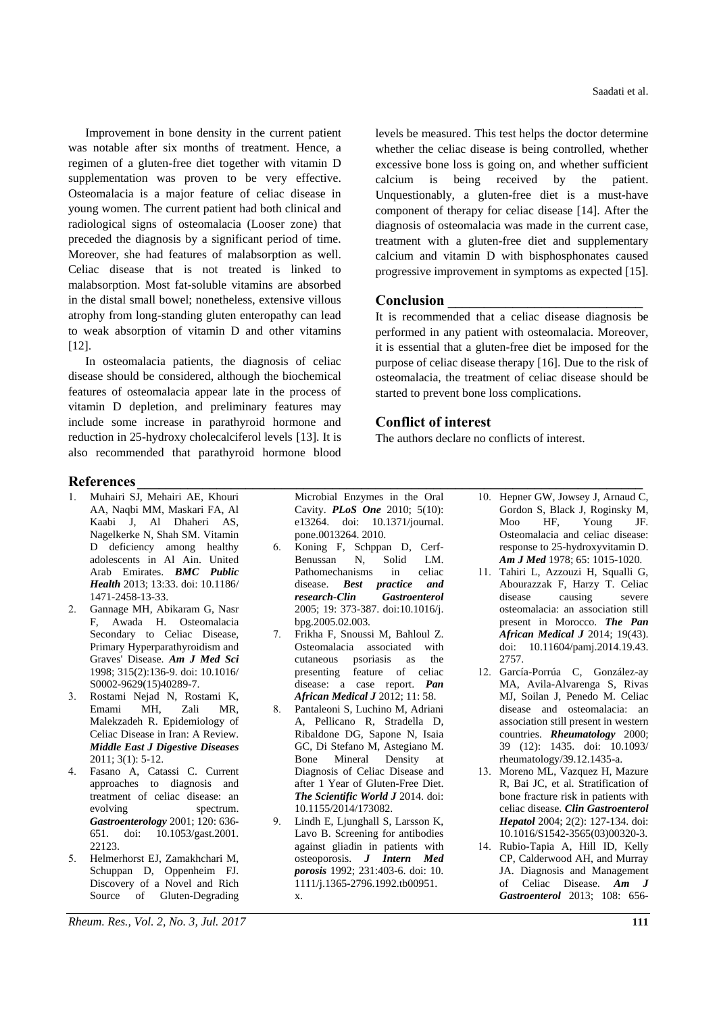Improvement in bone density in the current patient was notable after six months of treatment. Hence, a regimen of a gluten-free diet together with vitamin D supplementation was proven to be very effective. Osteomalacia is a major feature of celiac disease in young women. The current patient had both clinical and radiological signs of osteomalacia (Looser zone) that preceded the diagnosis by a significant period of time. Moreover, she had features of malabsorption as well. Celiac disease that is not treated is linked to malabsorption. Most fat-soluble vitamins are absorbed in the distal small bowel; nonetheless, extensive villous atrophy from long-standing gluten enteropathy can lead to weak absorption of vitamin D and other vitamins [12].

In osteomalacia patients, the diagnosis of celiac disease should be considered, although the biochemical features of osteomalacia appear late in the process of vitamin D depletion, and preliminary features may include some increase in parathyroid hormone and reduction in 25-hydroxy cholecalciferol levels [13]. It is also recommended that parathyroid hormone blood levels be measured. This test helps the doctor determine whether the celiac disease is being controlled, whether excessive bone loss is going on, and whether sufficient calcium is being received by the patient. Unquestionably, a gluten-free diet is a must-have component of therapy for celiac disease [14]. After the diagnosis of osteomalacia was made in the current case, treatment with a gluten-free diet and supplementary calcium and vitamin D with bisphosphonates caused progressive improvement in symptoms as expected [15].

#### **Conclusion \_\_\_\_\_\_\_\_\_\_\_\_\_\_\_\_\_\_\_\_\_\_\_\_\_\_\_**

It is recommended that a celiac disease diagnosis be performed in any patient with osteomalacia. Moreover, it is essential that a gluten-free diet be imposed for the purpose of celiac disease therapy [16]. Due to the risk of osteomalacia, the treatment of celiac disease should be started to prevent bone loss complications.

### **Conflict of interest**

The authors declare no conflicts of interest.

# **References\_\_\_\_\_\_\_\_\_\_\_\_\_\_\_\_\_\_\_\_\_\_\_\_\_\_\_\_\_\_\_\_\_\_\_\_\_\_\_\_\_\_\_\_\_\_\_\_\_\_\_\_\_\_\_\_\_\_\_\_\_\_\_\_\_\_\_\_\_\_**

- 1. Muhairi SJ, Mehairi AE, Khouri AA, Naqbi MM, Maskari FA, Al Kaabi J, Al Dhaheri AS, Nagelkerke N, Shah SM. Vitamin D deficiency among healthy adolescents in Al Ain. United Arab Emirates. *BMC Public Health* 2013; 13:33. doi: 10.1186/ 1471-2458-13-33.
- 2. Gannage MH, Abikaram G, Nasr F, Awada H. Osteomalacia Secondary to Celiac Disease, Primary Hyperparathyroidism and Graves' Disease. *Am J Med Sci* 1998; 315(2):136-9. doi: 10.1016/ S0002-9629(15)40289-7.
- 3. Rostami Nejad N, Rostami K, Emami MH, Zali MR, Malekzadeh R. Epidemiology of Celiac Disease in Iran: A Review. *Middle East J Digestive Diseases* 2011; 3(1): 5-12.
- 4. Fasano A, Catassi C. Current approaches to diagnosis and treatment of celiac disease: an evolving spectrum. *Gastroenterology* 2001; 120: 636- 651. doi: 10.1053/gast.2001. 22123.
- 5. Helmerhorst EJ, Zamakhchari M, Schuppan D, Oppenheim FJ. Discovery of a Novel and Rich Source of Gluten-Degrading

*Rheum. Res., Vol. 2, No. 3, Jul. 2017* **111**

Microbial Enzymes in the Oral Cavity. *PLoS One* 2010; 5(10): e13264. doi: 10.1371/journal. pone.0013264. 2010.

- 6. Koning F, Schppan D, Cerf-Benussan N, Solid LM. Pathomechanisms in celiac disease. *Best practice and research-Clin Gastroenterol* 2005; 19: 373-387. doi:10.1016/j. bpg.2005.02.003.
- 7. Frikha F, Snoussi M, Bahloul Z. Osteomalacia associated with cutaneous psoriasis as the presenting feature of celiac disease: a case report. *Pan African Medical J* 2012; 11: 58.
- 8. Pantaleoni S, Luchino M, Adriani A, Pellicano R, Stradella D, Ribaldone DG, Sapone N, Isaia GC, Di Stefano M, Astegiano M. Bone Mineral Density at Diagnosis of Celiac Disease and after 1 Year of Gluten-Free Diet. *The Scientific World J* 2014. doi: 10.1155/2014/173082.
- 9. Lindh E, Ljunghall S, Larsson K, Lavo B. Screening for antibodies against gliadin in patients with osteoporosis. *J Intern Med porosis* 1992; 231:403-6. doi: 10. 1111/j.1365-2796.1992.tb00951. x.

10. Hepner GW, Jowsey J, Arnaud C, Gordon S, Black J, Roginsky M, Moo HF, Young JF. Osteomalacia and celiac disease: response to 25-hydroxyvitamin D. *Am J Med* 1978; 65: 1015-1020.

- 11. Tahiri L, Azzouzi H, Squalli G, Abourazzak F, Harzy T. Celiac disease causing severe osteomalacia: an association still present in Morocco. *The Pan African Medical J* 2014; 19(43). doi: 10.11604/pamj.2014.19.43. 2757.
- 12. García-Porrúa C, González-ay MA, Avila-Alvarenga S, Rivas MJ, Soilan J, Penedo M. Celiac disease and osteomalacia: an association still present in western countries. *Rheumatology* 2000; 39 (12): 1435. doi: 10.1093/ rheumatology/39.12.1435-a.
- 13. Moreno ML, Vazquez H, Mazure R, Bai JC, et al. Stratification of bone fracture risk in patients with celiac disease. *Clin Gastroenterol Hepatol* 2004; 2(2): 127-134. doi: 10.1016/S1542-3565(03)00320-3.
- 14. Rubio-Tapia A, Hill ID, Kelly CP, Calderwood AH, and Murray JA. Diagnosis and Management of Celiac Disease. *Am J Gastroenterol* 2013; 108: 656-